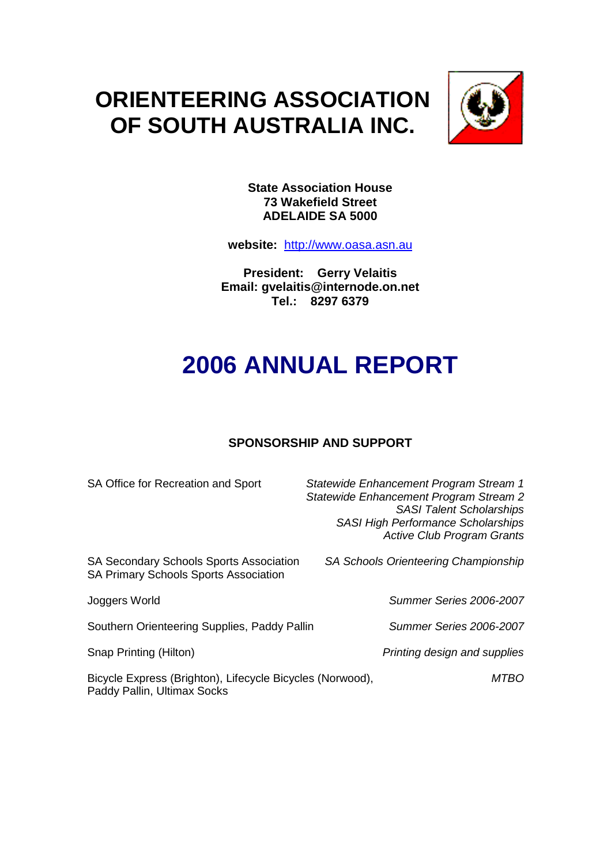## **ORIENTEERING ASSOCIATION OF SOUTH AUSTRALIA INC.**



**State Association House 73 Wakefield Street ADELAIDE SA 5000**

**website:** http://www.oasa.asn.au

**President: Gerry Velaitis Email: gvelaitis@internode.on.net Tel.: 8297 6379**

# **2006 ANNUAL REPORT**

## **SPONSORSHIP AND SUPPORT**

| SA Office for Recreation and Sport                                                             | Statewide Enhancement Program Stream 1<br>Statewide Enhancement Program Stream 2<br><b>SASI Talent Scholarships</b><br><b>SASI High Performance Scholarships</b><br><b>Active Club Program Grants</b> |
|------------------------------------------------------------------------------------------------|-------------------------------------------------------------------------------------------------------------------------------------------------------------------------------------------------------|
| <b>SA Secondary Schools Sports Association</b><br><b>SA Primary Schools Sports Association</b> | SA Schools Orienteering Championship                                                                                                                                                                  |
| Joggers World                                                                                  | Summer Series 2006-2007                                                                                                                                                                               |
| Southern Orienteering Supplies, Paddy Pallin                                                   | <b>Summer Series 2006-2007</b>                                                                                                                                                                        |
| Snap Printing (Hilton)                                                                         | Printing design and supplies                                                                                                                                                                          |
| Bicycle Express (Brighton), Lifecycle Bicycles (Norwood),<br>Paddy Pallin, Ultimax Socks       | MTBO                                                                                                                                                                                                  |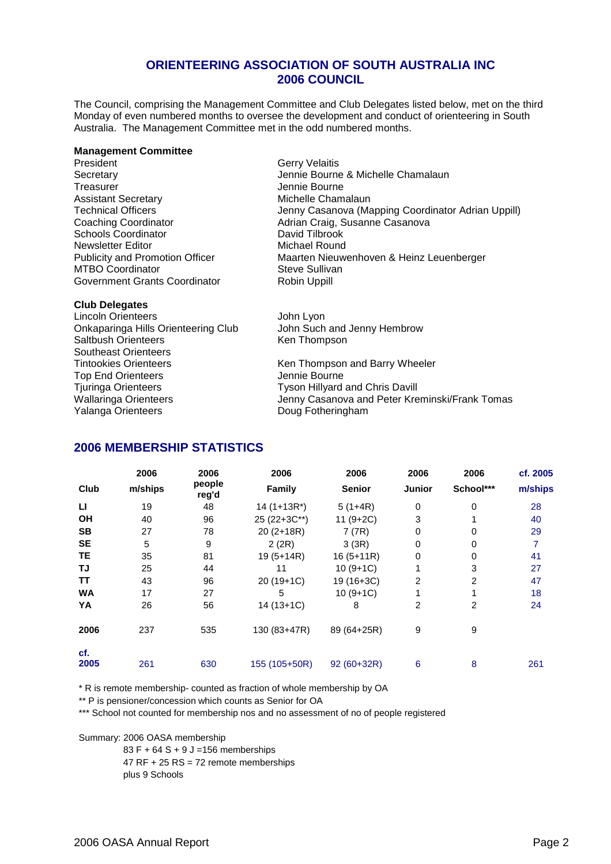## **ORIENTEERING ASSOCIATION OF SOUTH AUSTRALIA INC 2006 COUNCIL**

The Council, comprising the Management Committee and Club Delegates listed below, met on the third Monday of even numbered months to oversee the development and conduct of orienteering in South Australia. The Management Committee met in the odd numbered months.

#### **Management Committee**

President Cerry Velaitis<br>
Secretary Cerry Cerry Velaitis<br>
Secretary Cerry Cerry Cerry Cerry Cerry Cerry Cerry Cerry Cerry Cerry Cerry Cerry Cerry Cerry Cerry Cerry Cer Assistant Secretary **Michelle Chamalaun** Schools Coordinator **David Tilbrook**<br>
Newsletter Editor **David Tilbrook**<br>
Michael Round Newsletter Editor<br>Publicity and Promotion Officer MTBO Coordinator **Steve Sullivan** Government Grants Coordinator Robin Uppill

Secretary **Secretary** Jennie Bourne & Michelle Chamalaun<br>
Treasurer **Chamalaun**<br>
Jennie Bourne Jennie Bourne Technical Officers **Jenny Casanova** (Mapping Coordinator Adrian Uppill) Coaching Coordinator **Coaching Coordinator** Adrian Craig, Susanne Casanova<br>
Coordinator **Adrian Craig, Susanne Casanova**<br>
David Tilbrook Maarten Nieuwenhoven & Heinz Leuenberger

**Club Delegates** Lincoln Orienteers John Lyon Onkaparinga Hills Orienteering Club John Such and Jenny Hembrow Saltbush Orienteers Ken Thompson Southeast Orienteers Tintookies Orienteers **Ken Thompson and Barry Wheeler** Top End Orienteers<br>
Tiuringa Orienteers<br>
Tyson Hillyard Tyson Hillyard and Chris Davill Wallaringa Orienteers **Matube Accord Tenny Casanova and Peter Kreminski/Frank Tomas** Yalanga Orienteers **Doug Fotheringham** 

#### **2006 MEMBERSHIP STATISTICS**

|             | 2006    | 2006            | 2006          | 2006          | 2006           | 2006           | cf. 2005 |
|-------------|---------|-----------------|---------------|---------------|----------------|----------------|----------|
| Club        | m/ships | people<br>reg'd | Family        | <b>Senior</b> | <b>Junior</b>  | School***      | m/ships  |
| ш           | 19      | 48              | $14(1+13R^*)$ | $5(1+4R)$     | 0              | 0              | 28       |
| OH          | 40      | 96              | 25 (22+3C**)  | $11(9+2C)$    | 3              |                | 40       |
| <b>SB</b>   | 27      | 78              | 20 (2+18R)    | 7(7R)         | 0              | 0              | 29       |
| <b>SE</b>   | 5       | 9               | 2(2R)         | 3(3R)         | $\Omega$       | 0              | 7        |
| TЕ          | 35      | 81              | $19(5+14R)$   | $16(5+11R)$   | 0              | 0              | 41       |
| TJ          | 25      | 44              | 11            | $10(9+1C)$    |                | 3              | 27       |
| TΤ          | 43      | 96              | 20 (19+1C)    | 19 (16+3C)    | $\overline{2}$ | $\overline{2}$ | 47       |
| <b>WA</b>   | 17      | 27              | 5             | $10(9+1C)$    |                |                | 18       |
| YA          | 26      | 56              | $14(13+1C)$   | 8             | $\overline{2}$ | 2              | 24       |
| 2006        | 237     | 535             | 130 (83+47R)  | 89 (64+25R)   | 9              | 9              |          |
| cf.<br>2005 | 261     | 630             | 155 (105+50R) | 92 (60+32R)   | 6              | 8              | 261      |

\* R is remote membership- counted as fraction of whole membership by OA

\*\* P is pensioner/concession which counts as Senior for OA

\*\*\* School not counted for membership nos and no assessment of no of people registered

Summary: 2006 OASA membership

83 F + 64 S + 9 J =156 memberships  $47$  RF + 25 RS = 72 remote memberships plus 9 Schools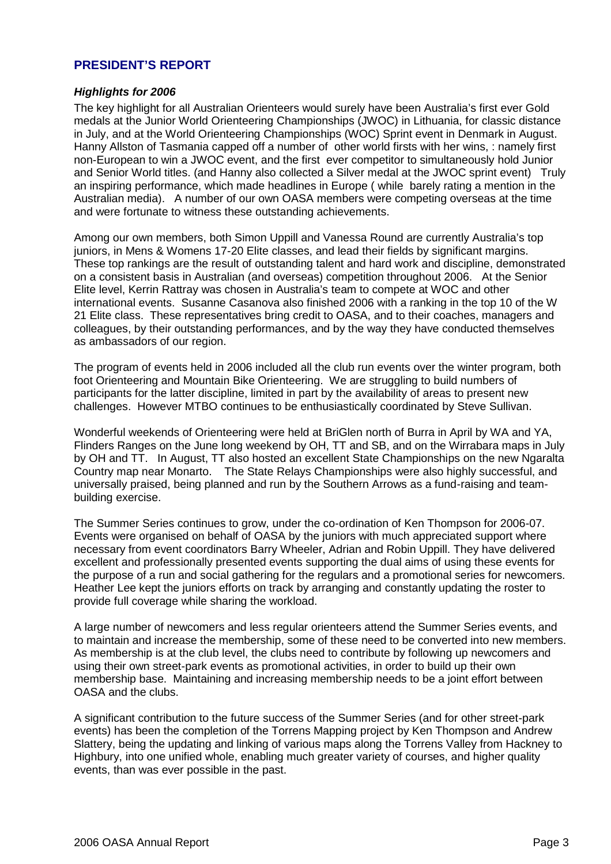## **PRESIDENT'S REPORT**

## *Highlights for 2006*

The key highlight for all Australian Orienteers would surely have been Australia's first ever Gold medals at the Junior World Orienteering Championships (JWOC) in Lithuania, for classic distance in July, and at the World Orienteering Championships (WOC) Sprint event in Denmark in August. Hanny Allston of Tasmania capped off a number of other world firsts with her wins, : namely first non-European to win a JWOC event, and the first ever competitor to simultaneously hold Junior and Senior World titles. (and Hanny also collected a Silver medal at the JWOC sprint event) Truly an inspiring performance, which made headlines in Europe ( while barely rating a mention in the Australian media). A number of our own OASA members were competing overseas at the time and were fortunate to witness these outstanding achievements.

Among our own members, both Simon Uppill and Vanessa Round are currently Australia's top juniors, in Mens & Womens 17-20 Elite classes, and lead their fields by significant margins. These top rankings are the result of outstanding talent and hard work and discipline, demonstrated on a consistent basis in Australian (and overseas) competition throughout 2006. At the Senior Elite level, Kerrin Rattray was chosen in Australia's team to compete at WOC and other international events. Susanne Casanova also finished 2006 with a ranking in the top 10 of the W 21 Elite class. These representatives bring credit to OASA, and to their coaches, managers and colleagues, by their outstanding performances, and by the way they have conducted themselves as ambassadors of our region.

The program of events held in 2006 included all the club run events over the winter program, both foot Orienteering and Mountain Bike Orienteering. We are struggling to build numbers of participants for the latter discipline, limited in part by the availability of areas to present new challenges. However MTBO continues to be enthusiastically coordinated by Steve Sullivan.

Wonderful weekends of Orienteering were held at BriGlen north of Burra in April by WA and YA, Flinders Ranges on the June long weekend by OH, TT and SB, and on the Wirrabara maps in July by OH and TT. In August, TT also hosted an excellent State Championships on the new Ngaralta Country map near Monarto. The State Relays Championships were also highly successful, and universally praised, being planned and run by the Southern Arrows as a fund-raising and teambuilding exercise.

The Summer Series continues to grow, under the co-ordination of Ken Thompson for 2006-07. Events were organised on behalf of OASA by the juniors with much appreciated support where necessary from event coordinators Barry Wheeler, Adrian and Robin Uppill. They have delivered excellent and professionally presented events supporting the dual aims of using these events for the purpose of a run and social gathering for the regulars and a promotional series for newcomers. Heather Lee kept the juniors efforts on track by arranging and constantly updating the roster to provide full coverage while sharing the workload.

A large number of newcomers and less regular orienteers attend the Summer Series events, and to maintain and increase the membership, some of these need to be converted into new members. As membership is at the club level, the clubs need to contribute by following up newcomers and using their own street-park events as promotional activities, in order to build up their own membership base. Maintaining and increasing membership needs to be a joint effort between OASA and the clubs.

A significant contribution to the future success of the Summer Series (and for other street-park events) has been the completion of the Torrens Mapping project by Ken Thompson and Andrew Slattery, being the updating and linking of various maps along the Torrens Valley from Hackney to Highbury, into one unified whole, enabling much greater variety of courses, and higher quality events, than was ever possible in the past.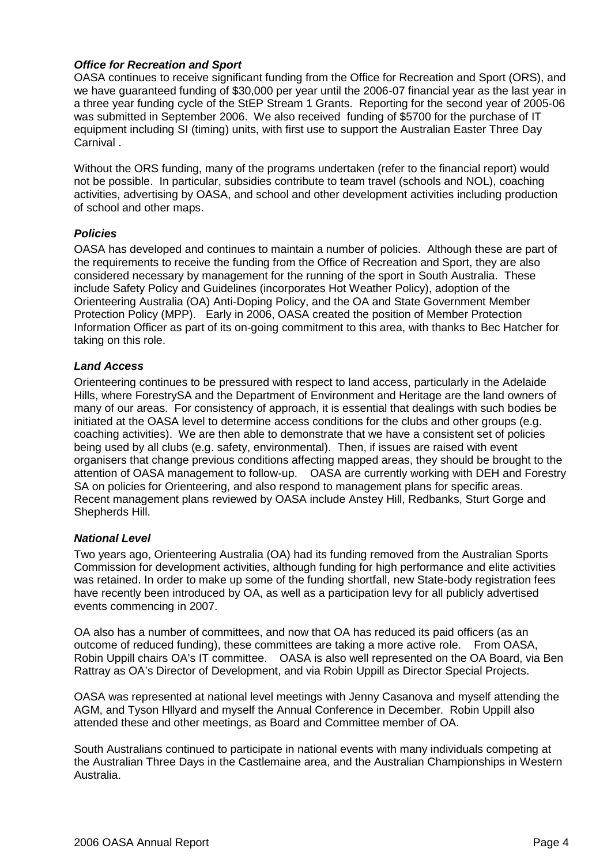## *Office for Recreation and Sport*

OASA continues to receive significant funding from the Office for Recreation and Sport (ORS), and we have guaranteed funding of \$30,000 per year until the 2006-07 financial year as the last year in a three year funding cycle of the StEP Stream 1 Grants. Reporting for the second year of 2005-06 was submitted in September 2006. We also received funding of \$5700 for the purchase of IT equipment including SI (timing) units, with first use to support the Australian Easter Three Day Carnival .

Without the ORS funding, many of the programs undertaken (refer to the financial report) would not be possible. In particular, subsidies contribute to team travel (schools and NOL), coaching activities, advertising by OASA, and school and other development activities including production of school and other maps.

#### *Policies*

OASA has developed and continues to maintain a number of policies. Although these are part of the requirements to receive the funding from the Office of Recreation and Sport, they are also considered necessary by management for the running of the sport in South Australia. These include Safety Policy and Guidelines (incorporates Hot Weather Policy), adoption of the Orienteering Australia (OA) Anti-Doping Policy, and the OA and State Government Member Protection Policy (MPP). Early in 2006, OASA created the position of Member Protection Information Officer as part of its on-going commitment to this area, with thanks to Bec Hatcher for taking on this role.

#### *Land Access*

Orienteering continues to be pressured with respect to land access, particularly in the Adelaide Hills, where ForestrySA and the Department of Environment and Heritage are the land owners of many of our areas. For consistency of approach, it is essential that dealings with such bodies be initiated at the OASA level to determine access conditions for the clubs and other groups (e.g. coaching activities). We are then able to demonstrate that we have a consistent set of policies being used by all clubs (e.g. safety, environmental). Then, if issues are raised with event organisers that change previous conditions affecting mapped areas, they should be brought to the attention of OASA management to follow-up. OASA are currently working with DEH and Forestry SA on policies for Orienteering, and also respond to management plans for specific areas. Recent management plans reviewed by OASA include Anstey Hill, Redbanks, Sturt Gorge and Shepherds Hill.

#### *National Level*

Two years ago, Orienteering Australia (OA) had its funding removed from the Australian Sports Commission for development activities, although funding for high performance and elite activities was retained. In order to make up some of the funding shortfall, new State-body registration fees have recently been introduced by OA, as well as a participation levy for all publicly advertised events commencing in 2007.

OA also has a number of committees, and now that OA has reduced its paid officers (as an outcome of reduced funding), these committees are taking a more active role. From OASA, Robin Uppill chairs OA's IT committee. OASA is also well represented on the OA Board, via Ben Rattray as OA's Director of Development, and via Robin Uppill as Director Special Projects.

OASA was represented at national level meetings with Jenny Casanova and myself attending the AGM, and Tyson Hllyard and myself the Annual Conference in December. Robin Uppill also attended these and other meetings, as Board and Committee member of OA.

South Australians continued to participate in national events with many individuals competing at the Australian Three Days in the Castlemaine area, and the Australian Championships in Western Australia.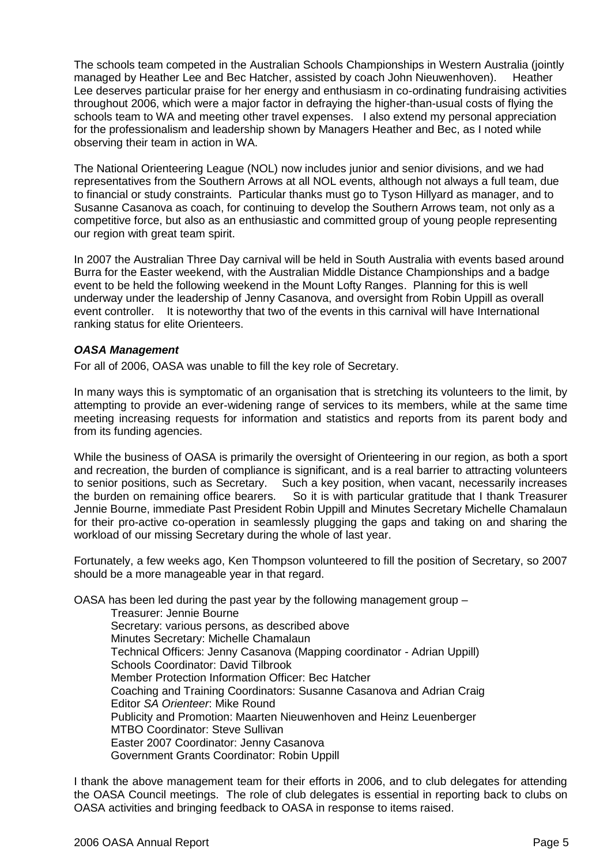The schools team competed in the Australian Schools Championships in Western Australia (jointly managed by Heather Lee and Bec Hatcher, assisted by coach John Nieuwenhoven). Heather Lee deserves particular praise for her energy and enthusiasm in co-ordinating fundraising activities throughout 2006, which were a major factor in defraying the higher-than-usual costs of flying the schools team to WA and meeting other travel expenses. I also extend my personal appreciation for the professionalism and leadership shown by Managers Heather and Bec, as I noted while observing their team in action in WA.

The National Orienteering League (NOL) now includes junior and senior divisions, and we had representatives from the Southern Arrows at all NOL events, although not always a full team, due to financial or study constraints. Particular thanks must go to Tyson Hillyard as manager, and to Susanne Casanova as coach, for continuing to develop the Southern Arrows team, not only as a competitive force, but also as an enthusiastic and committed group of young people representing our region with great team spirit.

In 2007 the Australian Three Day carnival will be held in South Australia with events based around Burra for the Easter weekend, with the Australian Middle Distance Championships and a badge event to be held the following weekend in the Mount Lofty Ranges. Planning for this is well underway under the leadership of Jenny Casanova, and oversight from Robin Uppill as overall event controller. It is noteworthy that two of the events in this carnival will have International ranking status for elite Orienteers.

## *OASA Management*

For all of 2006, OASA was unable to fill the key role of Secretary.

In many ways this is symptomatic of an organisation that is stretching its volunteers to the limit, by attempting to provide an ever-widening range of services to its members, while at the same time meeting increasing requests for information and statistics and reports from its parent body and from its funding agencies.

While the business of OASA is primarily the oversight of Orienteering in our region, as both a sport and recreation, the burden of compliance is significant, and is a real barrier to attracting volunteers to senior positions, such as Secretary. Such a key position, when vacant, necessarily increases the burden on remaining office bearers. So it is with particular gratitude that I thank Treasurer Jennie Bourne, immediate Past President Robin Uppill and Minutes Secretary Michelle Chamalaun for their pro-active co-operation in seamlessly plugging the gaps and taking on and sharing the workload of our missing Secretary during the whole of last year.

Fortunately, a few weeks ago, Ken Thompson volunteered to fill the position of Secretary, so 2007 should be a more manageable year in that regard.

OASA has been led during the past year by the following management group –

Treasurer: Jennie Bourne Secretary: various persons, as described above Minutes Secretary: Michelle Chamalaun Technical Officers: Jenny Casanova (Mapping coordinator - Adrian Uppill) Schools Coordinator: David Tilbrook Member Protection Information Officer: Bec Hatcher Coaching and Training Coordinators: Susanne Casanova and Adrian Craig Editor *SA Orienteer*: Mike Round Publicity and Promotion: Maarten Nieuwenhoven and Heinz Leuenberger MTBO Coordinator: Steve Sullivan Easter 2007 Coordinator: Jenny Casanova Government Grants Coordinator: Robin Uppill

I thank the above management team for their efforts in 2006, and to club delegates for attending the OASA Council meetings. The role of club delegates is essential in reporting back to clubs on OASA activities and bringing feedback to OASA in response to items raised.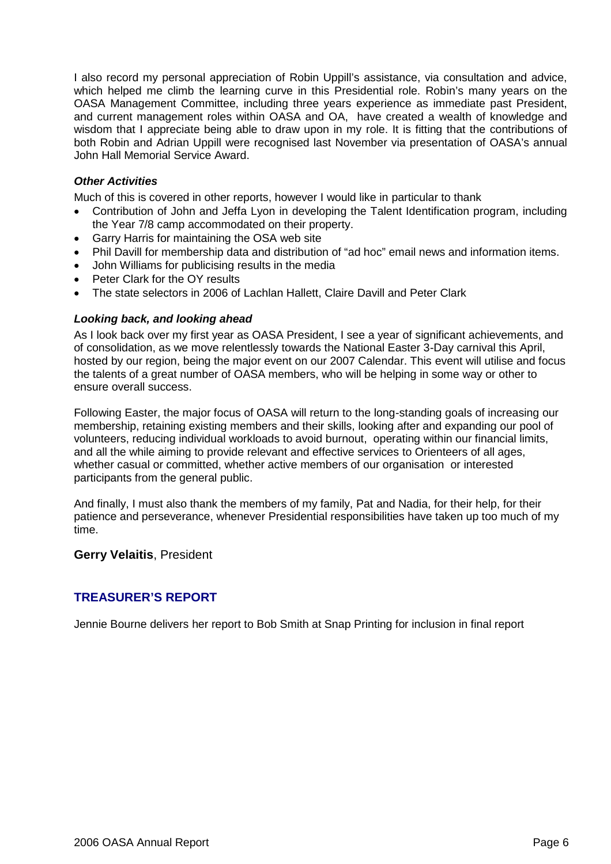I also record my personal appreciation of Robin Uppill's assistance, via consultation and advice, which helped me climb the learning curve in this Presidential role. Robin's many years on the OASA Management Committee, including three years experience as immediate past President, and current management roles within OASA and OA, have created a wealth of knowledge and wisdom that I appreciate being able to draw upon in my role. It is fitting that the contributions of both Robin and Adrian Uppill were recognised last November via presentation of OASA's annual John Hall Memorial Service Award.

## *Other Activities*

Much of this is covered in other reports, however I would like in particular to thank

- Contribution of John and Jeffa Lyon in developing the Talent Identification program, including the Year 7/8 camp accommodated on their property.
- Garry Harris for maintaining the OSA web site
- Phil Davill for membership data and distribution of "ad hoc" email news and information items.
- John Williams for publicising results in the media
- Peter Clark for the OY results
- The state selectors in 2006 of Lachlan Hallett, Claire Davill and Peter Clark

#### *Looking back, and looking ahead*

As I look back over my first year as OASA President, I see a year of significant achievements, and of consolidation, as we move relentlessly towards the National Easter 3-Day carnival this April, hosted by our region, being the major event on our 2007 Calendar. This event will utilise and focus the talents of a great number of OASA members, who will be helping in some way or other to ensure overall success.

Following Easter, the major focus of OASA will return to the long-standing goals of increasing our membership, retaining existing members and their skills, looking after and expanding our pool of volunteers, reducing individual workloads to avoid burnout, operating within our financial limits, and all the while aiming to provide relevant and effective services to Orienteers of all ages, whether casual or committed, whether active members of our organisation or interested participants from the general public.

And finally, I must also thank the members of my family, Pat and Nadia, for their help, for their patience and perseverance, whenever Presidential responsibilities have taken up too much of my time.

#### **Gerry Velaitis**, President

## **TREASURER'S REPORT**

Jennie Bourne delivers her report to Bob Smith at Snap Printing for inclusion in final report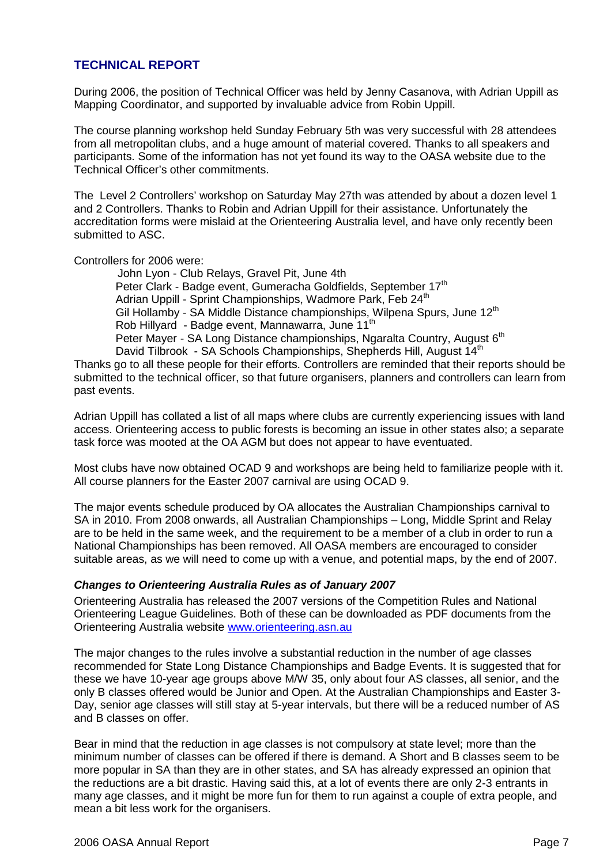## **TECHNICAL REPORT**

During 2006, the position of Technical Officer was held by Jenny Casanova, with Adrian Uppill as Mapping Coordinator, and supported by invaluable advice from Robin Uppill.

The course planning workshop held Sunday February 5th was very successful with 28 attendees from all metropolitan clubs, and a huge amount of material covered. Thanks to all speakers and participants. Some of the information has not yet found its way to the OASA website due to the Technical Officer's other commitments.

The Level 2 Controllers' workshop on Saturday May 27th was attended by about a dozen level 1 and 2 Controllers. Thanks to Robin and Adrian Uppill for their assistance. Unfortunately the accreditation forms were mislaid at the Orienteering Australia level, and have only recently been submitted to ASC.

Controllers for 2006 were:

John Lyon - Club Relays, Gravel Pit, June 4th Peter Clark - Badge event, Gumeracha Goldfields, September 17<sup>th</sup> Adrian Uppill - Sprint Championships, Wadmore Park, Feb 24<sup>th</sup> Gil Hollamby - SA Middle Distance championships, Wilpena Spurs, June 12<sup>th</sup> Rob Hillyard - Badge event, Mannawarra, June 11<sup>th</sup> Peter Mayer - SA Long Distance championships, Ngaralta Country, August 6<sup>th</sup> David Tilbrook - SA Schools Championships, Shepherds Hill, August 14<sup>th</sup>

Thanks go to all these people for their efforts. Controllers are reminded that their reports should be submitted to the technical officer, so that future organisers, planners and controllers can learn from past events.

Adrian Uppill has collated a list of all maps where clubs are currently experiencing issues with land access. Orienteering access to public forests is becoming an issue in other states also; a separate task force was mooted at the OA AGM but does not appear to have eventuated.

Most clubs have now obtained OCAD 9 and workshops are being held to familiarize people with it. All course planners for the Easter 2007 carnival are using OCAD 9.

The major events schedule produced by OA allocates the Australian Championships carnival to SA in 2010. From 2008 onwards, all Australian Championships – Long, Middle Sprint and Relay are to be held in the same week, and the requirement to be a member of a club in order to run a National Championships has been removed. All OASA members are encouraged to consider suitable areas, as we will need to come up with a venue, and potential maps, by the end of 2007.

## *Changes to Orienteering Australia Rules as of January 2007*

Orienteering Australia has released the 2007 versions of the Competition Rules and National Orienteering League Guidelines. Both of these can be downloaded as PDF documents from the Orienteering Australia website www.orienteering.asn.au

The major changes to the rules involve a substantial reduction in the number of age classes recommended for State Long Distance Championships and Badge Events. It is suggested that for these we have 10-year age groups above M/W 35, only about four AS classes, all senior, and the only B classes offered would be Junior and Open. At the Australian Championships and Easter 3- Day, senior age classes will still stay at 5-year intervals, but there will be a reduced number of AS and B classes on offer.

Bear in mind that the reduction in age classes is not compulsory at state level; more than the minimum number of classes can be offered if there is demand. A Short and B classes seem to be more popular in SA than they are in other states, and SA has already expressed an opinion that the reductions are a bit drastic. Having said this, at a lot of events there are only 2-3 entrants in many age classes, and it might be more fun for them to run against a couple of extra people, and mean a bit less work for the organisers.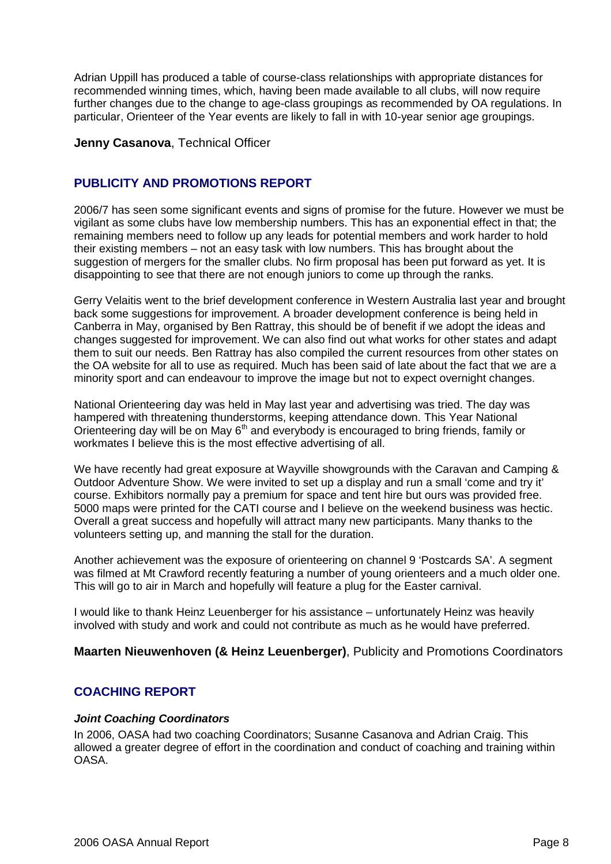Adrian Uppill has produced a table of course-class relationships with appropriate distances for recommended winning times, which, having been made available to all clubs, will now require further changes due to the change to age-class groupings as recommended by OA regulations. In particular, Orienteer of the Year events are likely to fall in with 10-year senior age groupings.

## **Jenny Casanova**, Technical Officer

## **PUBLICITY AND PROMOTIONS REPORT**

2006/7 has seen some significant events and signs of promise for the future. However we must be vigilant as some clubs have low membership numbers. This has an exponential effect in that; the remaining members need to follow up any leads for potential members and work harder to hold their existing members – not an easy task with low numbers. This has brought about the suggestion of mergers for the smaller clubs. No firm proposal has been put forward as yet. It is disappointing to see that there are not enough juniors to come up through the ranks.

Gerry Velaitis went to the brief development conference in Western Australia last year and brought back some suggestions for improvement. A broader development conference is being held in Canberra in May, organised by Ben Rattray, this should be of benefit if we adopt the ideas and changes suggested for improvement. We can also find out what works for other states and adapt them to suit our needs. Ben Rattray has also compiled the current resources from other states on the OA website for all to use as required. Much has been said of late about the fact that we are a minority sport and can endeavour to improve the image but not to expect overnight changes.

National Orienteering day was held in May last year and advertising was tried. The day was hampered with threatening thunderstorms, keeping attendance down. This Year National Orienteering day will be on May  $6<sup>th</sup>$  and everybody is encouraged to bring friends, family or workmates I believe this is the most effective advertising of all.

We have recently had great exposure at Wayville showgrounds with the Caravan and Camping & Outdoor Adventure Show. We were invited to set up a display and run a small 'come and try it' course. Exhibitors normally pay a premium for space and tent hire but ours was provided free. 5000 maps were printed for the CATI course and I believe on the weekend business was hectic. Overall a great success and hopefully will attract many new participants. Many thanks to the volunteers setting up, and manning the stall for the duration.

Another achievement was the exposure of orienteering on channel 9 'Postcards SA'. A segment was filmed at Mt Crawford recently featuring a number of young orienteers and a much older one. This will go to air in March and hopefully will feature a plug for the Easter carnival.

I would like to thank Heinz Leuenberger for his assistance – unfortunately Heinz was heavily involved with study and work and could not contribute as much as he would have preferred.

**Maarten Nieuwenhoven (& Heinz Leuenberger)**, Publicity and Promotions Coordinators

## **COACHING REPORT**

## *Joint Coaching Coordinators*

In 2006, OASA had two coaching Coordinators; Susanne Casanova and Adrian Craig. This allowed a greater degree of effort in the coordination and conduct of coaching and training within **OASA**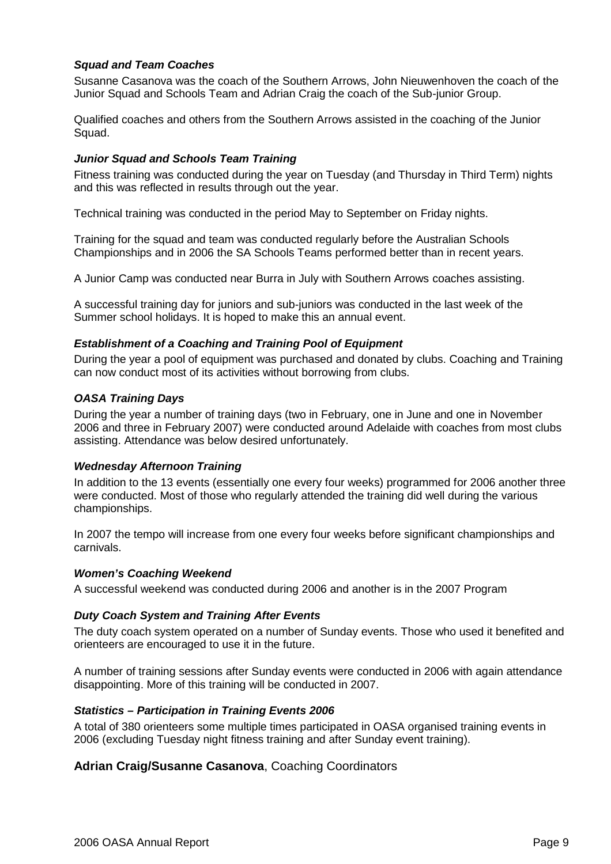## *Squad and Team Coaches*

Susanne Casanova was the coach of the Southern Arrows, John Nieuwenhoven the coach of the Junior Squad and Schools Team and Adrian Craig the coach of the Sub-junior Group.

Qualified coaches and others from the Southern Arrows assisted in the coaching of the Junior Squad.

## *Junior Squad and Schools Team Training*

Fitness training was conducted during the year on Tuesday (and Thursday in Third Term) nights and this was reflected in results through out the year.

Technical training was conducted in the period May to September on Friday nights.

Training for the squad and team was conducted regularly before the Australian Schools Championships and in 2006 the SA Schools Teams performed better than in recent years.

A Junior Camp was conducted near Burra in July with Southern Arrows coaches assisting.

A successful training day for juniors and sub-juniors was conducted in the last week of the Summer school holidays. It is hoped to make this an annual event.

#### *Establishment of a Coaching and Training Pool of Equipment*

During the year a pool of equipment was purchased and donated by clubs. Coaching and Training can now conduct most of its activities without borrowing from clubs.

## *OASA Training Days*

During the year a number of training days (two in February, one in June and one in November 2006 and three in February 2007) were conducted around Adelaide with coaches from most clubs assisting. Attendance was below desired unfortunately.

#### *Wednesday Afternoon Training*

In addition to the 13 events (essentially one every four weeks) programmed for 2006 another three were conducted. Most of those who regularly attended the training did well during the various championships.

In 2007 the tempo will increase from one every four weeks before significant championships and carnivals.

#### *Women's Coaching Weekend*

A successful weekend was conducted during 2006 and another is in the 2007 Program

## *Duty Coach System and Training After Events*

The duty coach system operated on a number of Sunday events. Those who used it benefited and orienteers are encouraged to use it in the future.

A number of training sessions after Sunday events were conducted in 2006 with again attendance disappointing. More of this training will be conducted in 2007.

#### *Statistics – Participation in Training Events 2006*

A total of 380 orienteers some multiple times participated in OASA organised training events in 2006 (excluding Tuesday night fitness training and after Sunday event training).

## **Adrian Craig/Susanne Casanova**, Coaching Coordinators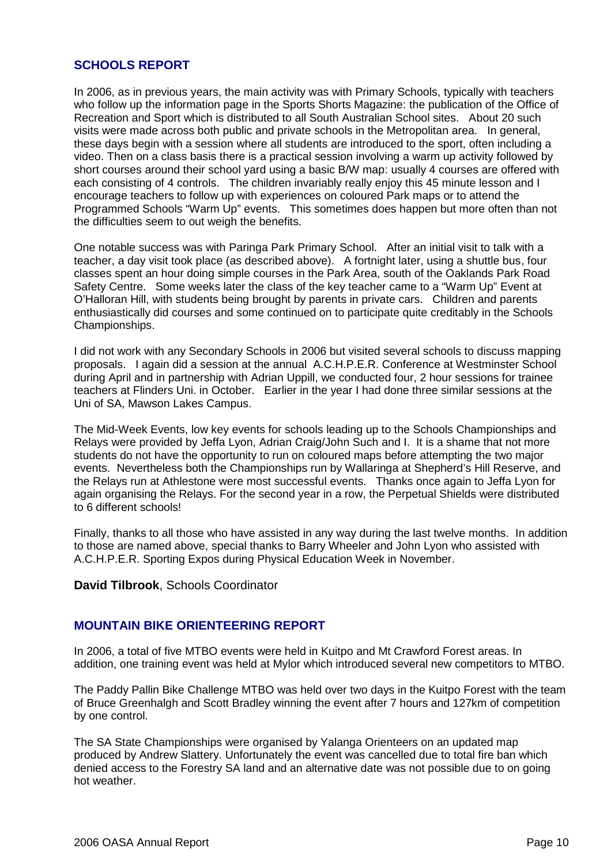## **SCHOOLS REPORT**

In 2006, as in previous years, the main activity was with Primary Schools, typically with teachers who follow up the information page in the Sports Shorts Magazine: the publication of the Office of Recreation and Sport which is distributed to all South Australian School sites. About 20 such visits were made across both public and private schools in the Metropolitan area. In general, these days begin with a session where all students are introduced to the sport, often including a video. Then on a class basis there is a practical session involving a warm up activity followed by short courses around their school yard using a basic B/W map: usually 4 courses are offered with each consisting of 4 controls. The children invariably really enjoy this 45 minute lesson and I encourage teachers to follow up with experiences on coloured Park maps or to attend the Programmed Schools "Warm Up" events. This sometimes does happen but more often than not the difficulties seem to out weigh the benefits.

One notable success was with Paringa Park Primary School. After an initial visit to talk with a teacher, a day visit took place (as described above). A fortnight later, using a shuttle bus, four classes spent an hour doing simple courses in the Park Area, south of the Oaklands Park Road Safety Centre. Some weeks later the class of the key teacher came to a "Warm Up" Event at O'Halloran Hill, with students being brought by parents in private cars. Children and parents enthusiastically did courses and some continued on to participate quite creditably in the Schools Championships.

I did not work with any Secondary Schools in 2006 but visited several schools to discuss mapping proposals. I again did a session at the annual A.C.H.P.E.R. Conference at Westminster School during April and in partnership with Adrian Uppill, we conducted four, 2 hour sessions for trainee teachers at Flinders Uni. in October. Earlier in the year I had done three similar sessions at the Uni of SA, Mawson Lakes Campus.

The Mid-Week Events, low key events for schools leading up to the Schools Championships and Relays were provided by Jeffa Lyon, Adrian Craig/John Such and I. It is a shame that not more students do not have the opportunity to run on coloured maps before attempting the two major events. Nevertheless both the Championships run by Wallaringa at Shepherd's Hill Reserve, and the Relays run at Athlestone were most successful events. Thanks once again to Jeffa Lyon for again organising the Relays. For the second year in a row, the Perpetual Shields were distributed to 6 different schools!

Finally, thanks to all those who have assisted in any way during the last twelve months. In addition to those are named above, special thanks to Barry Wheeler and John Lyon who assisted with A.C.H.P.E.R. Sporting Expos during Physical Education Week in November.

**David Tilbrook**, Schools Coordinator

## **MOUNTAIN BIKE ORIENTEERING REPORT**

In 2006, a total of five MTBO events were held in Kuitpo and Mt Crawford Forest areas. In addition, one training event was held at Mylor which introduced several new competitors to MTBO.

The Paddy Pallin Bike Challenge MTBO was held over two days in the Kuitpo Forest with the team of Bruce Greenhalgh and Scott Bradley winning the event after 7 hours and 127km of competition by one control.

The SA State Championships were organised by Yalanga Orienteers on an updated map produced by Andrew Slattery. Unfortunately the event was cancelled due to total fire ban which denied access to the Forestry SA land and an alternative date was not possible due to on going hot weather.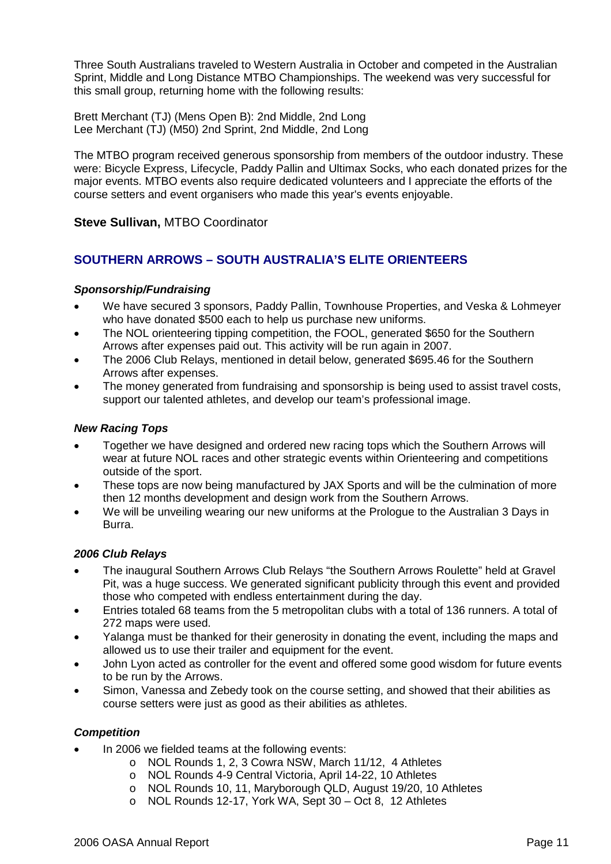Three South Australians traveled to Western Australia in October and competed in the Australian Sprint, Middle and Long Distance MTBO Championships. The weekend was very successful for this small group, returning home with the following results:

Brett Merchant (TJ) (Mens Open B): 2nd Middle, 2nd Long Lee Merchant (TJ) (M50) 2nd Sprint, 2nd Middle, 2nd Long

The MTBO program received generous sponsorship from members of the outdoor industry. These were: Bicycle Express, Lifecycle, Paddy Pallin and Ultimax Socks, who each donated prizes for the major events. MTBO events also require dedicated volunteers and I appreciate the efforts of the course setters and event organisers who made this year's events enjoyable.

## **Steve Sullivan,** MTBO Coordinator

## **SOUTHERN ARROWS – SOUTH AUSTRALIA'S ELITE ORIENTEERS**

## *Sponsorship/Fundraising*

- We have secured 3 sponsors, Paddy Pallin, Townhouse Properties, and Veska & Lohmeyer who have donated \$500 each to help us purchase new uniforms.
- The NOL orienteering tipping competition, the FOOL, generated \$650 for the Southern Arrows after expenses paid out. This activity will be run again in 2007.
- The 2006 Club Relays, mentioned in detail below, generated \$695.46 for the Southern Arrows after expenses.
- The money generated from fundraising and sponsorship is being used to assist travel costs, support our talented athletes, and develop our team's professional image.

#### *New Racing Tops*

- Together we have designed and ordered new racing tops which the Southern Arrows will wear at future NOL races and other strategic events within Orienteering and competitions outside of the sport.
- These tops are now being manufactured by JAX Sports and will be the culmination of more then 12 months development and design work from the Southern Arrows.
- We will be unveiling wearing our new uniforms at the Prologue to the Australian 3 Days in Burra.

## *2006 Club Relays*

- The inaugural Southern Arrows Club Relays "the Southern Arrows Roulette" held at Gravel Pit, was a huge success. We generated significant publicity through this event and provided those who competed with endless entertainment during the day.
- Entries totaled 68 teams from the 5 metropolitan clubs with a total of 136 runners. A total of 272 maps were used.
- Yalanga must be thanked for their generosity in donating the event, including the maps and allowed us to use their trailer and equipment for the event.
- John Lyon acted as controller for the event and offered some good wisdom for future events to be run by the Arrows.
- Simon, Vanessa and Zebedy took on the course setting, and showed that their abilities as course setters were just as good as their abilities as athletes.

## *Competition*

- In 2006 we fielded teams at the following events:
	- o NOL Rounds 1, 2, 3 Cowra NSW, March 11/12, 4 Athletes
	- o NOL Rounds 4-9 Central Victoria, April 14-22, 10 Athletes
	- o NOL Rounds 10, 11, Maryborough QLD, August 19/20, 10 Athletes
	- o NOL Rounds 12-17, York WA, Sept 30 Oct 8, 12 Athletes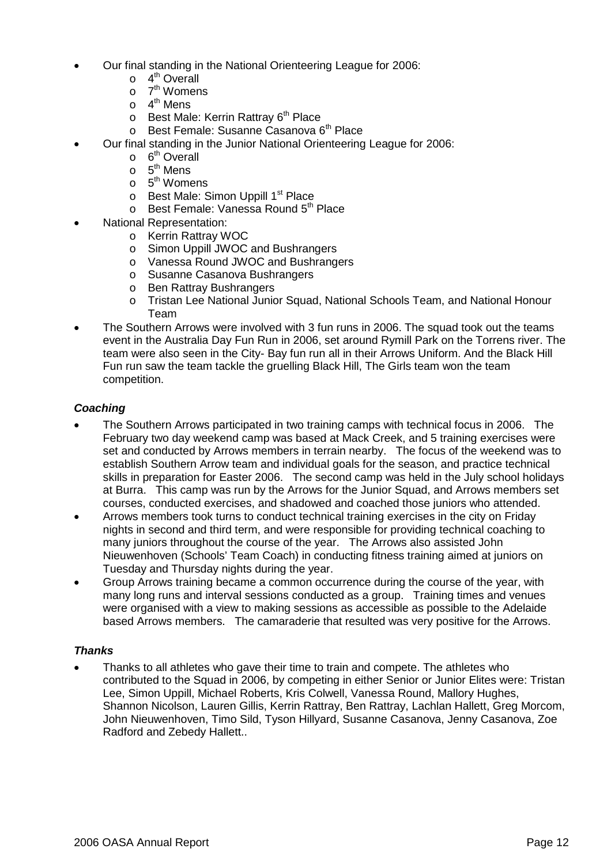- Our final standing in the National Orienteering League for 2006:
	- $\circ$  4<sup>th</sup> Overall
	- o 7<sup>th</sup> Womens
	- o 4<sup>th</sup> Mens
	- $\circ$  Best Male: Kerrin Rattray 6<sup>th</sup> Place
	- $\circ$  Best Female: Susanne Casanova 6<sup>th</sup> Place
- Our final standing in the Junior National Orienteering League for 2006:
	- $\circ$  6<sup>th</sup> Overall
	- $\circ$  5<sup>th</sup> Mens
	- o 5<sup>th</sup> Womens
	- o Best Male: Simon Uppill 1<sup>st</sup> Place
	- o Best Female: Vanessa Round 5<sup>th</sup> Place
- National Representation:
	- o Kerrin Rattray WOC
	- o Simon Uppill JWOC and Bushrangers
	- o Vanessa Round JWOC and Bushrangers
	- o Susanne Casanova Bushrangers
	- o Ben Rattray Bushrangers
	- o Tristan Lee National Junior Squad, National Schools Team, and National Honour Team
- The Southern Arrows were involved with 3 fun runs in 2006. The squad took out the teams event in the Australia Day Fun Run in 2006, set around Rymill Park on the Torrens river. The team were also seen in the City- Bay fun run all in their Arrows Uniform. And the Black Hill Fun run saw the team tackle the gruelling Black Hill, The Girls team won the team competition.

## *Coaching*

- The Southern Arrows participated in two training camps with technical focus in 2006. The February two day weekend camp was based at Mack Creek, and 5 training exercises were set and conducted by Arrows members in terrain nearby. The focus of the weekend was to establish Southern Arrow team and individual goals for the season, and practice technical skills in preparation for Easter 2006. The second camp was held in the July school holidays at Burra. This camp was run by the Arrows for the Junior Squad, and Arrows members set courses, conducted exercises, and shadowed and coached those juniors who attended.
- Arrows members took turns to conduct technical training exercises in the city on Friday nights in second and third term, and were responsible for providing technical coaching to many juniors throughout the course of the year. The Arrows also assisted John Nieuwenhoven (Schools' Team Coach) in conducting fitness training aimed at juniors on Tuesday and Thursday nights during the year.
- Group Arrows training became a common occurrence during the course of the year, with many long runs and interval sessions conducted as a group. Training times and venues were organised with a view to making sessions as accessible as possible to the Adelaide based Arrows members. The camaraderie that resulted was very positive for the Arrows.

## *Thanks*

 Thanks to all athletes who gave their time to train and compete. The athletes who contributed to the Squad in 2006, by competing in either Senior or Junior Elites were: Tristan Lee, Simon Uppill, Michael Roberts, Kris Colwell, Vanessa Round, Mallory Hughes, Shannon Nicolson, Lauren Gillis, Kerrin Rattray, Ben Rattray, Lachlan Hallett, Greg Morcom, John Nieuwenhoven, Timo Sild, Tyson Hillyard, Susanne Casanova, Jenny Casanova, Zoe Radford and Zebedy Hallett..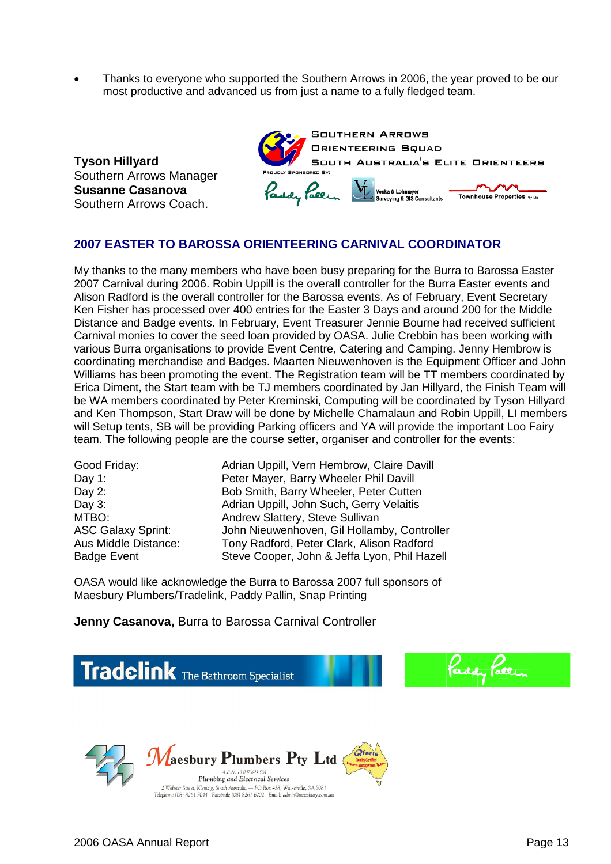Thanks to everyone who supported the Southern Arrows in 2006, the year proved to be our most productive and advanced us from just a name to a fully fledged team.

**Tyson Hillyard** Southern Arrows Manager **Susanne Casanova** Southern Arrows Coach.



## **2007 EASTER TO BAROSSA ORIENTEERING CARNIVAL COORDINATOR**

My thanks to the many members who have been busy preparing for the Burra to Barossa Easter 2007 Carnival during 2006. Robin Uppill is the overall controller for the Burra Easter events and Alison Radford is the overall controller for the Barossa events. As of February, Event Secretary Ken Fisher has processed over 400 entries for the Easter 3 Days and around 200 for the Middle Distance and Badge events. In February, Event Treasurer Jennie Bourne had received sufficient Carnival monies to cover the seed loan provided by OASA. Julie Crebbin has been working with various Burra organisations to provide Event Centre, Catering and Camping. Jenny Hembrow is coordinating merchandise and Badges. Maarten Nieuwenhoven is the Equipment Officer and John Williams has been promoting the event. The Registration team will be TT members coordinated by Erica Diment, the Start team with be TJ members coordinated by Jan Hillyard, the Finish Team will be WA members coordinated by Peter Kreminski, Computing will be coordinated by Tyson Hillyard and Ken Thompson, Start Draw will be done by Michelle Chamalaun and Robin Uppill, LI members will Setup tents, SB will be providing Parking officers and YA will provide the important Loo Fairy team. The following people are the course setter, organiser and controller for the events:

Good Friday: Adrian Uppill, Vern Hembrow, Claire Davill Day 1: Peter Mayer, Barry Wheeler Phil Davill Day 2: Bob Smith, Barry Wheeler, Peter Cutten Day 3: **Day 3:** Adrian Uppill, John Such, Gerry Velaitis MTBO: MTBO: Andrew Slattery, Steve Sullivan<br>ASC Galaxy Sprint: John Nieuwenhoven, Gil Hollam John Nieuwenhoven, Gil Hollamby, Controller Aus Middle Distance: Tony Radford, Peter Clark, Alison Radford Badge Event Steve Cooper, John & Jeffa Lyon, Phil Hazell

OASA would like acknowledge the Burra to Barossa 2007 full sponsors of Maesbury Plumbers/Tradelink, Paddy Pallin, Snap Printing

**Jenny Casanova,** Burra to Barossa Carnival Controller

**Tradelink** The Bathroom Specialist



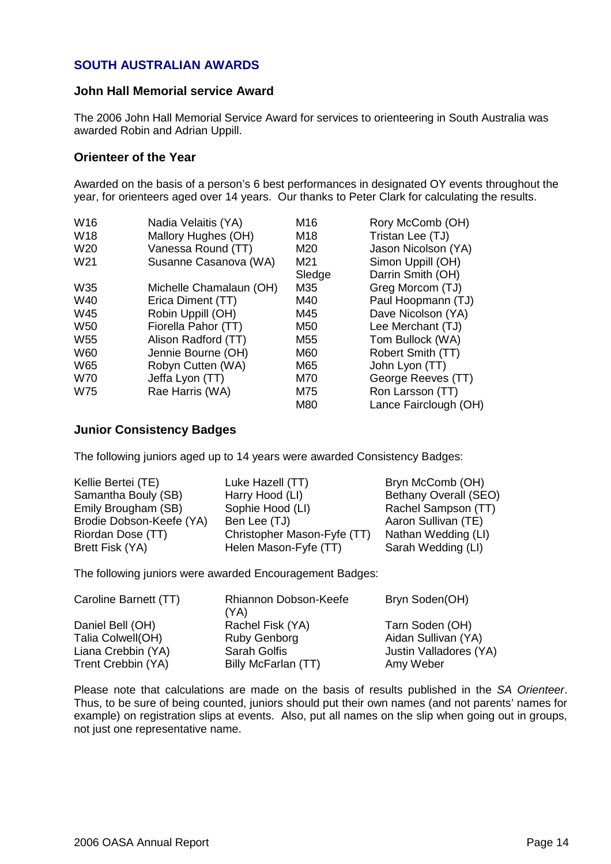## **SOUTH AUSTRALIAN AWARDS**

## **John Hall Memorial service Award**

The 2006 John Hall Memorial Service Award for services to orienteering in South Australia was awarded Robin and Adrian Uppill.

## **Orienteer of the Year**

Awarded on the basis of a person's 6 best performances in designated OY events throughout the year, for orienteers aged over 14 years. Our thanks to Peter Clark for calculating the results.

| W <sub>16</sub> | Nadia Velaitis (YA)     | M16    | Rory McComb (OH)      |
|-----------------|-------------------------|--------|-----------------------|
| W18             | Mallory Hughes (OH)     | M18    | Tristan Lee (TJ)      |
| W <sub>20</sub> | Vanessa Round (TT)      | M20    | Jason Nicolson (YA)   |
| W <sub>21</sub> | Susanne Casanova (WA)   | M21    | Simon Uppill (OH)     |
|                 |                         | Sledge | Darrin Smith (OH)     |
| W35             | Michelle Chamalaun (OH) | M35    | Greg Morcom (TJ)      |
| W40             | Erica Diment (TT)       | M40    | Paul Hoopmann (TJ)    |
| W45             | Robin Uppill (OH)       | M45    | Dave Nicolson (YA)    |
| W <sub>50</sub> | Fiorella Pahor (TT)     | M50    | Lee Merchant (TJ)     |
| W <sub>55</sub> | Alison Radford (TT)     | M55    | Tom Bullock (WA)      |
| <b>W60</b>      | Jennie Bourne (OH)      | M60    | Robert Smith (TT)     |
| W65             | Robyn Cutten (WA)       | M65    | John Lyon (TT)        |
| <b>W70</b>      | Jeffa Lyon (TT)         | M70    | George Reeves (TT)    |
| <b>W75</b>      | Rae Harris (WA)         | M75    | Ron Larsson (TT)      |
|                 |                         | M80    | Lance Fairclough (OH) |

## **Junior Consistency Badges**

The following juniors aged up to 14 years were awarded Consistency Badges:

| Kellie Bertei (TE)       | Luke Hazell (TT)            | Bryn McComb (OH)             |
|--------------------------|-----------------------------|------------------------------|
| Samantha Bouly (SB)      | Harry Hood (LI)             | <b>Bethany Overall (SEO)</b> |
| Emily Brougham (SB)      | Sophie Hood (LI)            | Rachel Sampson (TT)          |
| Brodie Dobson-Keefe (YA) | Ben Lee (TJ)                | Aaron Sullivan (TE)          |
| Riordan Dose (TT)        | Christopher Mason-Fyfe (TT) | Nathan Wedding (LI)          |
| Brett Fisk (YA)          | Helen Mason-Fyfe (TT)       | Sarah Wedding (LI)           |

The following juniors were awarded Encouragement Badges:

| Caroline Barnett (TT) | Rhiannon Dobson-Keefe<br>(YA) | Bryn Soden(OH)         |
|-----------------------|-------------------------------|------------------------|
| Daniel Bell (OH)      | Rachel Fisk (YA)              | Tarn Soden (OH)        |
| Talia Colwell(OH)     | Ruby Genborg                  | Aidan Sullivan (YA)    |
| Liana Crebbin (YA)    | <b>Sarah Golfis</b>           | Justin Valladores (YA) |
| Trent Crebbin (YA)    | Billy McFarlan (TT)           | Amy Weber              |

Please note that calculations are made on the basis of results published in the *SA Orienteer*. Thus, to be sure of being counted, juniors should put their own names (and not parents' names for example) on registration slips at events. Also, put all names on the slip when going out in groups, not just one representative name.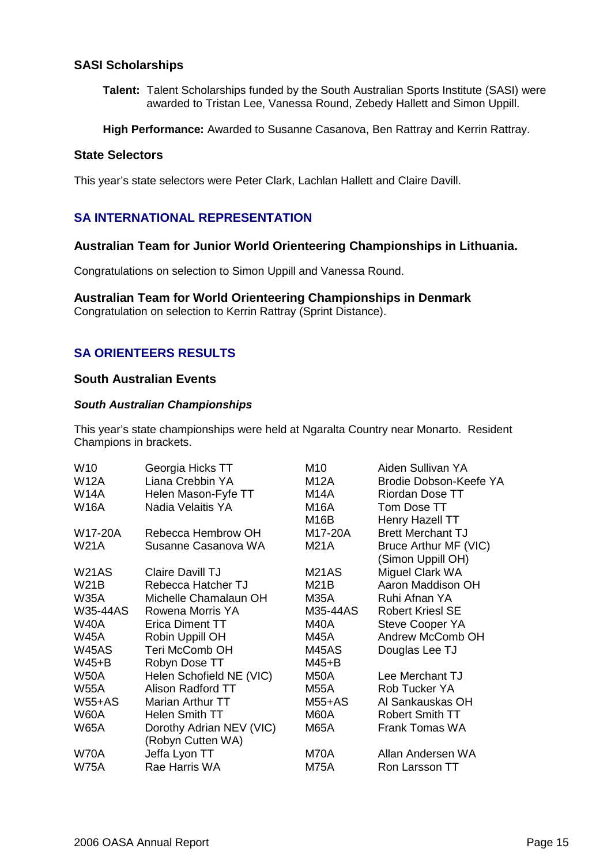## **SASI Scholarships**

**Talent:** Talent Scholarships funded by the South Australian Sports Institute (SASI) were awarded to Tristan Lee, Vanessa Round, Zebedy Hallett and Simon Uppill.

**High Performance:** Awarded to Susanne Casanova, Ben Rattray and Kerrin Rattray.

#### **State Selectors**

This year's state selectors were Peter Clark, Lachlan Hallett and Claire Davill.

## **SA INTERNATIONAL REPRESENTATION**

## **Australian Team for Junior World Orienteering Championships in Lithuania.**

Congratulations on selection to Simon Uppill and Vanessa Round.

#### **Australian Team for World Orienteering Championships in Denmark**

Congratulation on selection to Kerrin Rattray (Sprint Distance).

## **SA ORIENTEERS RESULTS**

## **South Australian Events**

#### *South Australian Championships*

This year's state championships were held at Ngaralta Country near Monarto. Resident Champions in brackets.

| W <sub>10</sub> | Georgia Hicks TT         | M10         | Aiden Sullivan YA        |
|-----------------|--------------------------|-------------|--------------------------|
| <b>W12A</b>     | Liana Crebbin YA         | M12A        | Brodie Dobson-Keefe YA   |
| <b>W14A</b>     | Helen Mason-Fyfe TT      | M14A        | Riordan Dose TT          |
| <b>W16A</b>     | Nadia Velaitis YA        | M16A        | Tom Dose TT              |
|                 |                          | M16B        | Henry Hazell TT          |
| W17-20A         | Rebecca Hembrow OH       | M17-20A     | <b>Brett Merchant TJ</b> |
| <b>W21A</b>     | Susanne Casanova WA      | <b>M21A</b> | Bruce Arthur MF (VIC)    |
|                 |                          |             | (Simon Uppill OH)        |
| W21AS           | <b>Claire Davill TJ</b>  | M21AS       | Miguel Clark WA          |
| W21B            | Rebecca Hatcher TJ       | M21B        | Aaron Maddison OH        |
| <b>W35A</b>     | Michelle Chamalaun OH    | M35A        | Ruhi Afnan YA            |
| W35-44AS        | Rowena Morris YA         | M35-44AS    | <b>Robert Kriesl SE</b>  |
| <b>W40A</b>     | <b>Erica Diment TT</b>   | M40A        | <b>Steve Cooper YA</b>   |
| <b>W45A</b>     | Robin Uppill OH          | M45A        | Andrew McComb OH         |
| W45AS           | <b>Teri McComb OH</b>    | M45AS       | Douglas Lee TJ           |
| $W45+B$         | Robyn Dose TT            | $M45+B$     |                          |
| <b>W50A</b>     | Helen Schofield NE (VIC) | M50A        | Lee Merchant TJ          |
| <b>W55A</b>     | Alison Radford TT        | M55A        | Rob Tucker YA            |
| $W55+AS$        | Marian Arthur TT         | $M55+AS$    | Al Sankauskas OH         |
| W60A            | Helen Smith TT           | M60A        | <b>Robert Smith TT</b>   |
| W65A            | Dorothy Adrian NEV (VIC) | M65A        | Frank Tomas WA           |
|                 | (Robyn Cutten WA)        |             |                          |
| <b>W70A</b>     | Jeffa Lyon TT            | M70A        | Allan Andersen WA        |
| <b>W75A</b>     | Rae Harris WA            | M75A        | Ron Larsson TT           |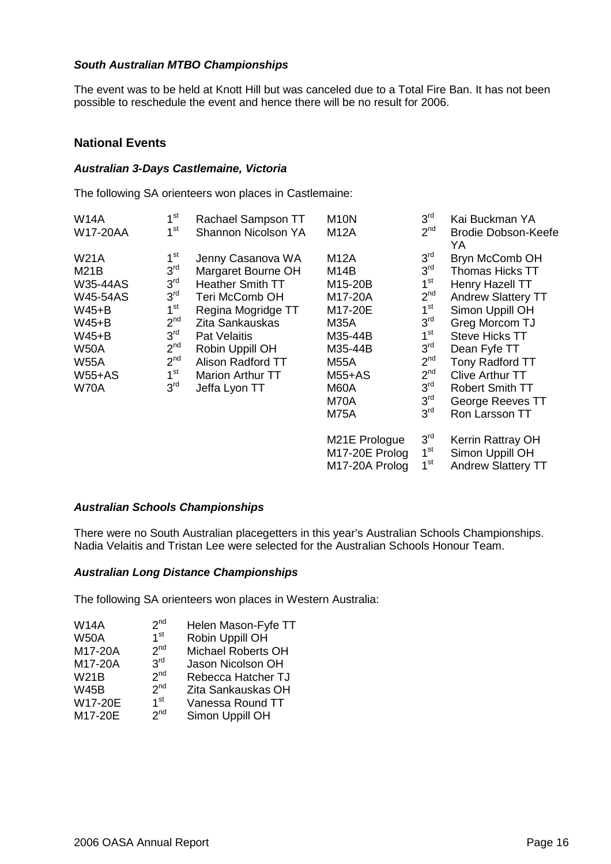## *South Australian MTBO Championships*

The event was to be held at Knott Hill but was canceled due to a Total Fire Ban. It has not been possible to reschedule the event and hence there will be no result for 2006.

## **National Events**

#### *Australian 3-Days Castlemaine, Victoria*

The following SA orienteers won places in Castlemaine:

| <b>W14A</b>     | 1 <sup>st</sup> | Rachael Sampson TT      | <b>M10N</b>       | 3 <sup>rd</sup> | Kai Buckman YA            |
|-----------------|-----------------|-------------------------|-------------------|-----------------|---------------------------|
| W17-20AA        | $1^{\rm st}$    | Shannon Nicolson YA     | <b>M12A</b>       | 2 <sup>nd</sup> | Brodie Dobson-Keefe<br>YA |
| <b>W21A</b>     | $1^{\rm st}$    | Jenny Casanova WA       | M12A              | 3 <sup>rd</sup> | Bryn McComb OH            |
| M21B            | 3 <sup>rd</sup> | Margaret Bourne OH      | M <sub>14</sub> B | 3 <sup>rd</sup> | <b>Thomas Hicks TT</b>    |
| <b>W35-44AS</b> | 3 <sup>rd</sup> | <b>Heather Smith TT</b> | M15-20B           | 1 <sup>st</sup> | Henry Hazell TT           |
| <b>W45-54AS</b> | 3 <sup>rd</sup> | <b>Teri McComb OH</b>   | M17-20A           | 2 <sup>nd</sup> | <b>Andrew Slattery TT</b> |
| $W45+B$         | 1 <sup>st</sup> | Regina Mogridge TT      | M17-20E           | 1 <sup>st</sup> | Simon Uppill OH           |
| $W45+B$         | 2 <sup>nd</sup> | Zita Sankauskas         | M35A              | 3 <sup>rd</sup> | Greg Morcom TJ            |
| $W45+B$         | 3 <sup>rd</sup> | <b>Pat Velaitis</b>     | M35-44B           | $1^{\rm st}$    | <b>Steve Hicks TT</b>     |
| <b>W50A</b>     | 2 <sup>nd</sup> | Robin Uppill OH         | M35-44B           | 3 <sup>rd</sup> | Dean Fyfe TT              |
| <b>W55A</b>     | 2 <sup>nd</sup> | Alison Radford TT       | <b>M55A</b>       | 2 <sup>nd</sup> | Tony Radford TT           |
| $W55+AS$        | 1 <sup>st</sup> | <b>Marion Arthur TT</b> | $M55+AS$          | 2 <sup>nd</sup> | <b>Clive Arthur TT</b>    |
| <b>W70A</b>     | 3 <sup>rd</sup> | Jeffa Lyon TT           | M60A              | 3 <sup>rd</sup> | <b>Robert Smith TT</b>    |
|                 |                 |                         | M70A              | 3 <sup>rd</sup> | George Reeves TT          |
|                 |                 |                         | <b>M75A</b>       | 3 <sup>rd</sup> | Ron Larsson TT            |
|                 |                 |                         | M21E Prologue     | 3 <sup>rd</sup> | Kerrin Rattray OH         |
|                 |                 |                         | M17-20E Prolog    | 1 <sup>st</sup> | Simon Uppill OH           |
|                 |                 |                         | M17-20A Prolog    | 1 <sup>st</sup> | <b>Andrew Slattery TT</b> |

## *Australian Schools Championships*

There were no South Australian placegetters in this year's Australian Schools Championships. Nadia Velaitis and Tristan Lee were selected for the Australian Schools Honour Team.

## *Australian Long Distance Championships*

The following SA orienteers won places in Western Australia:

| 2 <sup>nd</sup> | Helen Mason-Fyfe TT                                                                                            |
|-----------------|----------------------------------------------------------------------------------------------------------------|
| 1 <sup>st</sup> | Robin Uppill OH                                                                                                |
|                 | <b>Michael Roberts OH</b>                                                                                      |
|                 | Jason Nicolson OH                                                                                              |
|                 | Rebecca Hatcher TJ                                                                                             |
|                 | Zita Sankauskas OH                                                                                             |
|                 | Vanessa Round TT                                                                                               |
|                 | Simon Uppill OH                                                                                                |
|                 | 2 <sup>nd</sup><br>3 <sup>rd</sup><br>2 <sup>nd</sup><br>2 <sup>nd</sup><br>1 <sup>st</sup><br>2 <sup>nd</sup> |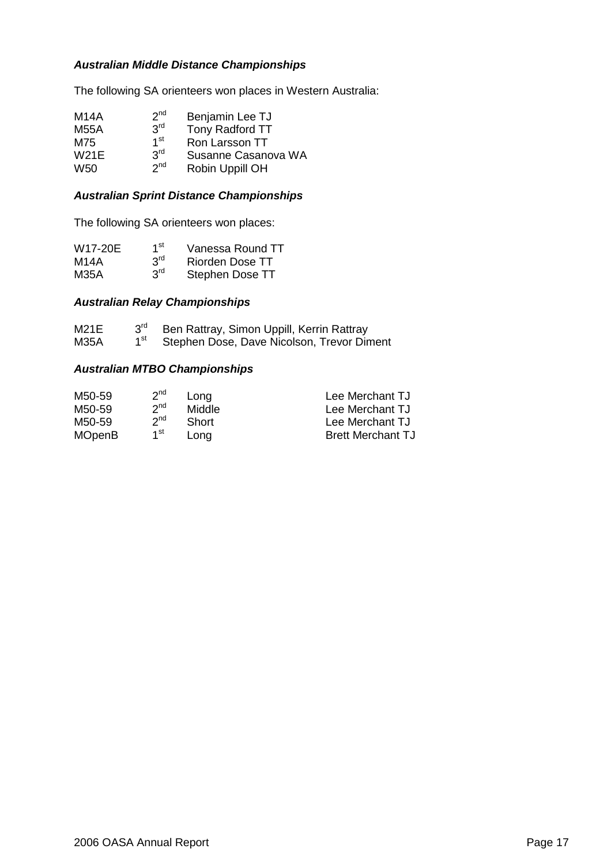## *Australian Middle Distance Championships*

The following SA orienteers won places in Western Australia:

| M14A        | 2 <sup>nd</sup> | Benjamin Lee TJ     |
|-------------|-----------------|---------------------|
| <b>M55A</b> | 3 <sup>rd</sup> | Tony Radford TT     |
| M75         | 1 <sup>st</sup> | Ron Larsson TT      |
| <b>W21E</b> | 3 <sup>rd</sup> | Susanne Casanova WA |
| W50         | 2 <sub>nd</sub> | Robin Uppill OH     |

## *Australian Sprint Distance Championships*

The following SA orienteers won places:

| W17-20E | 1 <sup>st</sup> | Vanessa Round TT |
|---------|-----------------|------------------|
| M14A    | 3 <sup>rd</sup> | Riorden Dose TT  |
| M35A    | 3 <sup>rd</sup> | Stephen Dose TT  |

## *Australian Relay Championships*

| M21E        | $3^{\text{rd}}$ | Ben Rattray, Simon Uppill, Kerrin Rattray  |
|-------------|-----------------|--------------------------------------------|
| <b>M35A</b> |                 | Stephen Dose, Dave Nicolson, Trevor Diment |

#### *Australian MTBO Championships*

| M50-59        | 2 <sup>nd</sup> | Long   | Lee Merchant TJ          |
|---------------|-----------------|--------|--------------------------|
| M50-59        | 2 <sup>nd</sup> | Middle | Lee Merchant TJ          |
| M50-59        | 2 <sup>nd</sup> | Short  | Lee Merchant TJ          |
| <b>MOpenB</b> | 1 <sup>st</sup> | Lona   | <b>Brett Merchant TJ</b> |